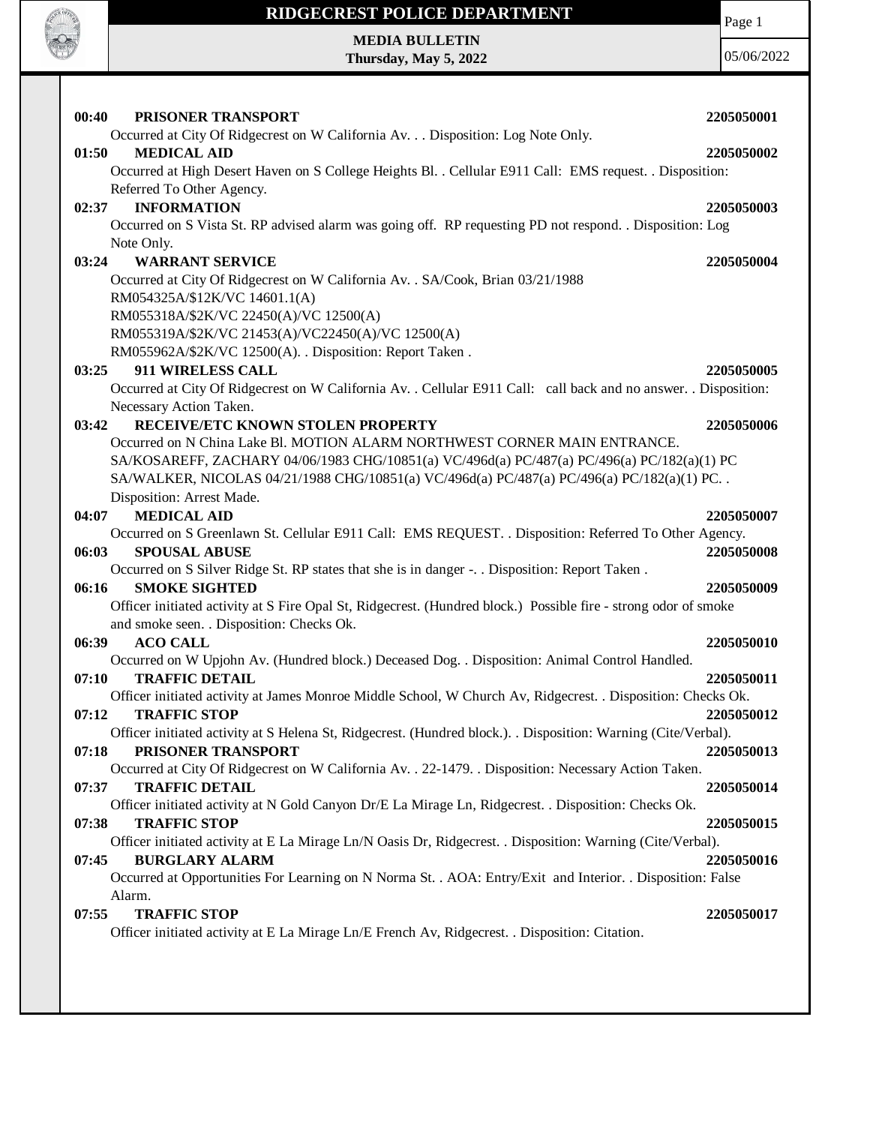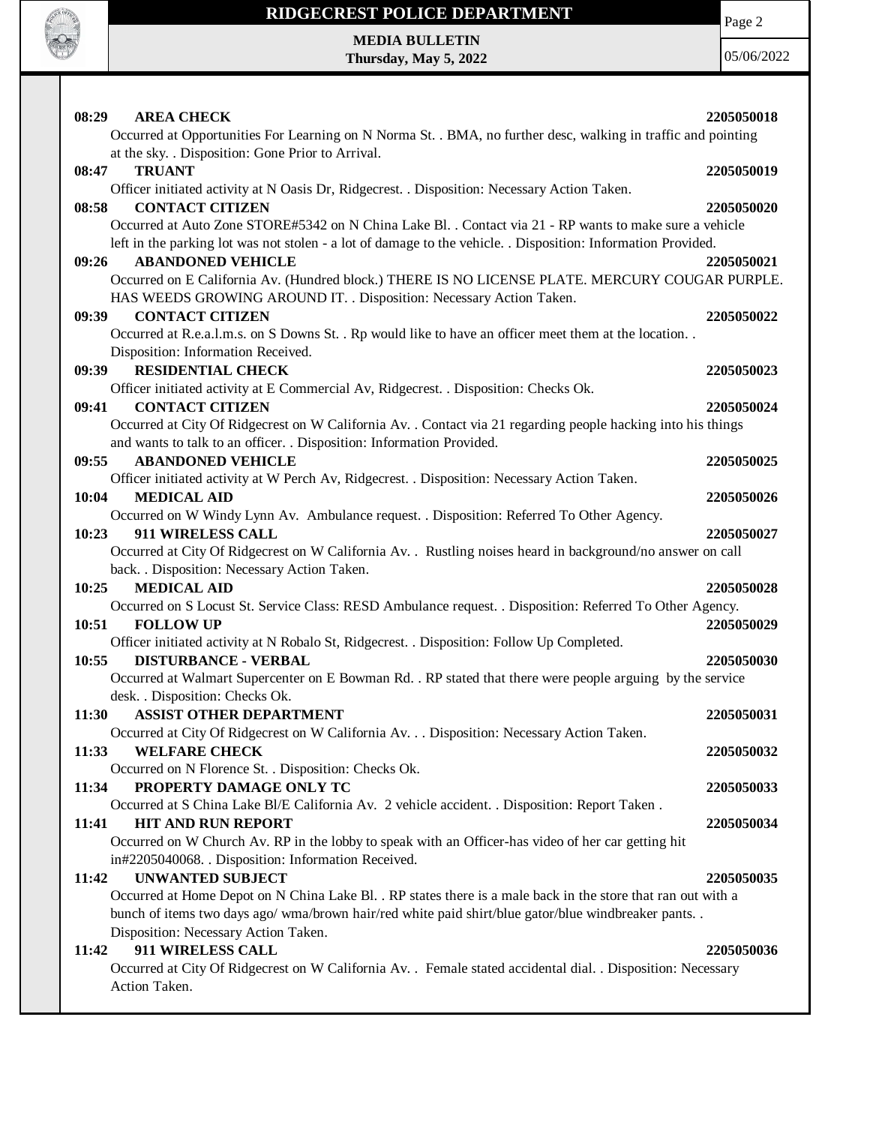

Page 2

**MEDIA BULLETIN Thursday, May 5, 2022**

| 08:29<br><b>AREA CHECK</b>                                                                                                                                                                                               | 2205050018 |
|--------------------------------------------------------------------------------------------------------------------------------------------------------------------------------------------------------------------------|------------|
| Occurred at Opportunities For Learning on N Norma St. . BMA, no further desc, walking in traffic and pointing<br>at the sky. . Disposition: Gone Prior to Arrival.                                                       |            |
| <b>TRUANT</b><br>08:47                                                                                                                                                                                                   | 2205050019 |
| Officer initiated activity at N Oasis Dr, Ridgecrest. . Disposition: Necessary Action Taken.<br><b>CONTACT CITIZEN</b><br>08:58                                                                                          | 2205050020 |
| Occurred at Auto Zone STORE#5342 on N China Lake Bl. . Contact via 21 - RP wants to make sure a vehicle<br>left in the parking lot was not stolen - a lot of damage to the vehicle. . Disposition: Information Provided. |            |
| <b>ABANDONED VEHICLE</b><br>09:26<br>Occurred on E California Av. (Hundred block.) THERE IS NO LICENSE PLATE. MERCURY COUGAR PURPLE.<br>HAS WEEDS GROWING AROUND IT. . Disposition: Necessary Action Taken.              | 2205050021 |
| <b>CONTACT CITIZEN</b><br>09:39                                                                                                                                                                                          | 2205050022 |
| Occurred at R.e.a.l.m.s. on S Downs St. . Rp would like to have an officer meet them at the location<br>Disposition: Information Received.                                                                               |            |
| <b>RESIDENTIAL CHECK</b><br>09:39                                                                                                                                                                                        | 2205050023 |
| Officer initiated activity at E Commercial Av, Ridgecrest. . Disposition: Checks Ok.                                                                                                                                     |            |
| <b>CONTACT CITIZEN</b><br>09:41<br>Occurred at City Of Ridgecrest on W California Av. . Contact via 21 regarding people hacking into his things                                                                          | 2205050024 |
| and wants to talk to an officer. . Disposition: Information Provided.<br><b>ABANDONED VEHICLE</b><br>09:55                                                                                                               | 2205050025 |
| Officer initiated activity at W Perch Av, Ridgecrest. . Disposition: Necessary Action Taken.                                                                                                                             |            |
| <b>MEDICAL AID</b><br>10:04                                                                                                                                                                                              | 2205050026 |
| Occurred on W Windy Lynn Av. Ambulance request. . Disposition: Referred To Other Agency.                                                                                                                                 |            |
| 911 WIRELESS CALL<br>10:23                                                                                                                                                                                               | 2205050027 |
| Occurred at City Of Ridgecrest on W California Av. . Rustling noises heard in background/no answer on call                                                                                                               |            |
| back. . Disposition: Necessary Action Taken.                                                                                                                                                                             |            |
| <b>MEDICAL AID</b><br>10:25                                                                                                                                                                                              | 2205050028 |
| Occurred on S Locust St. Service Class: RESD Ambulance request. . Disposition: Referred To Other Agency.<br><b>FOLLOW UP</b><br>10:51                                                                                    | 2205050029 |
| Officer initiated activity at N Robalo St, Ridgecrest. . Disposition: Follow Up Completed.<br>10:55<br><b>DISTURBANCE - VERBAL</b>                                                                                       | 2205050030 |
| Occurred at Walmart Supercenter on E Bowman Rd. . RP stated that there were people arguing by the service<br>desk. . Disposition: Checks Ok.                                                                             |            |
| 11:30<br><b>ASSIST OTHER DEPARTMENT</b>                                                                                                                                                                                  | 2205050031 |
| Occurred at City Of Ridgecrest on W California Av. Disposition: Necessary Action Taken.                                                                                                                                  |            |
| <b>WELFARE CHECK</b><br>11:33                                                                                                                                                                                            | 2205050032 |
| Occurred on N Florence St. . Disposition: Checks Ok.                                                                                                                                                                     |            |
| 11:34<br>PROPERTY DAMAGE ONLY TC<br>Occurred at S China Lake Bl/E California Av. 2 vehicle accident. . Disposition: Report Taken.                                                                                        | 2205050033 |
| <b>HIT AND RUN REPORT</b><br>11:41                                                                                                                                                                                       | 2205050034 |
| Occurred on W Church Av. RP in the lobby to speak with an Officer-has video of her car getting hit<br>in#2205040068. . Disposition: Information Received.                                                                |            |
| <b>UNWANTED SUBJECT</b><br>11:42                                                                                                                                                                                         | 2205050035 |
| Occurred at Home Depot on N China Lake Bl. . RP states there is a male back in the store that ran out with a                                                                                                             |            |
| bunch of items two days ago/ wma/brown hair/red white paid shirt/blue gator/blue windbreaker pants. .                                                                                                                    |            |
| Disposition: Necessary Action Taken.                                                                                                                                                                                     |            |
| 911 WIRELESS CALL<br>11:42                                                                                                                                                                                               | 2205050036 |
| Occurred at City Of Ridgecrest on W California Av. . Female stated accidental dial. . Disposition: Necessary<br>Action Taken.                                                                                            |            |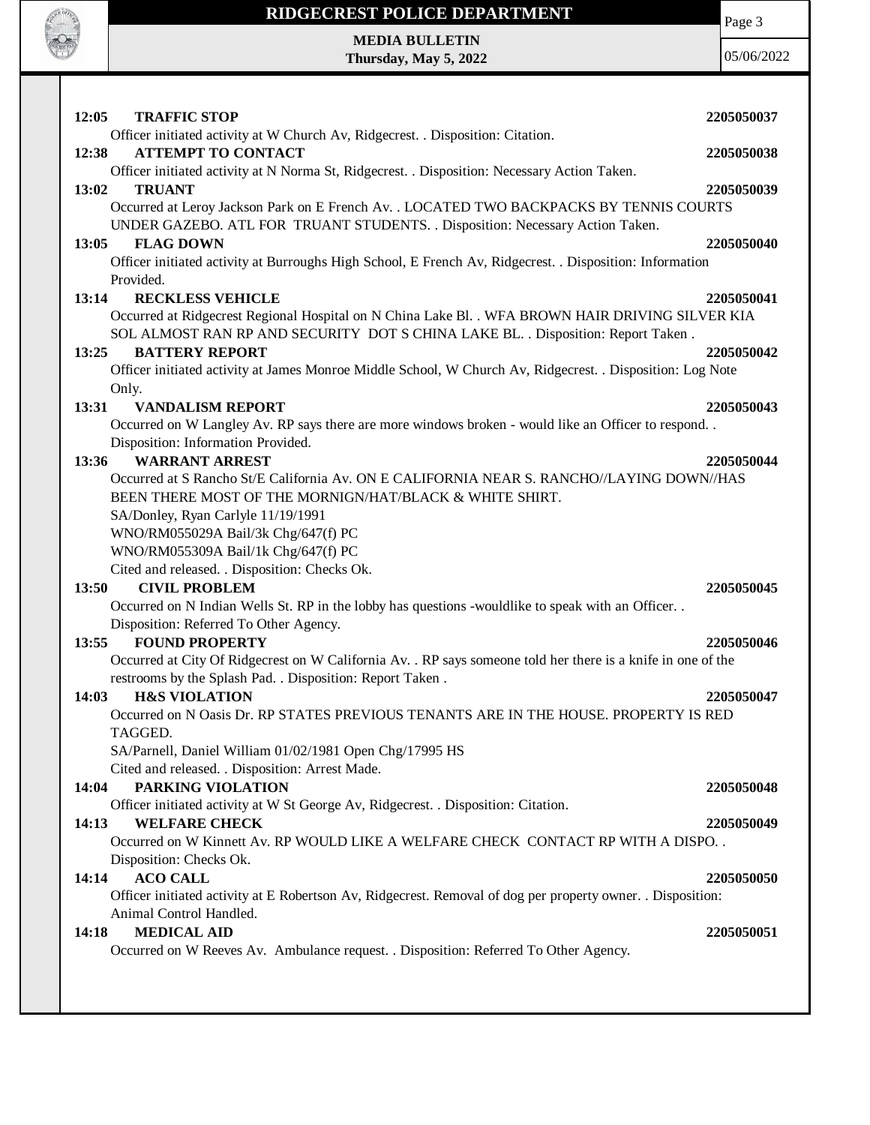

Page 3

05/06/2022

**MEDIA BULLETIN Thursday, May 5, 2022**

| 2205050037<br>2205050038<br>2205050039<br>Occurred at Leroy Jackson Park on E French Av. . LOCATED TWO BACKPACKS BY TENNIS COURTS<br>2205050040<br>Officer initiated activity at Burroughs High School, E French Av, Ridgecrest. . Disposition: Information<br>2205050041<br>Occurred at Ridgecrest Regional Hospital on N China Lake Bl. . WFA BROWN HAIR DRIVING SILVER KIA<br>SOL ALMOST RAN RP AND SECURITY DOT S CHINA LAKE BL. . Disposition: Report Taken.<br>2205050042 |
|---------------------------------------------------------------------------------------------------------------------------------------------------------------------------------------------------------------------------------------------------------------------------------------------------------------------------------------------------------------------------------------------------------------------------------------------------------------------------------|
|                                                                                                                                                                                                                                                                                                                                                                                                                                                                                 |
|                                                                                                                                                                                                                                                                                                                                                                                                                                                                                 |
|                                                                                                                                                                                                                                                                                                                                                                                                                                                                                 |
|                                                                                                                                                                                                                                                                                                                                                                                                                                                                                 |
|                                                                                                                                                                                                                                                                                                                                                                                                                                                                                 |
|                                                                                                                                                                                                                                                                                                                                                                                                                                                                                 |
|                                                                                                                                                                                                                                                                                                                                                                                                                                                                                 |
|                                                                                                                                                                                                                                                                                                                                                                                                                                                                                 |
|                                                                                                                                                                                                                                                                                                                                                                                                                                                                                 |
|                                                                                                                                                                                                                                                                                                                                                                                                                                                                                 |
|                                                                                                                                                                                                                                                                                                                                                                                                                                                                                 |
|                                                                                                                                                                                                                                                                                                                                                                                                                                                                                 |
|                                                                                                                                                                                                                                                                                                                                                                                                                                                                                 |
|                                                                                                                                                                                                                                                                                                                                                                                                                                                                                 |
| Officer initiated activity at James Monroe Middle School, W Church Av, Ridgecrest. . Disposition: Log Note                                                                                                                                                                                                                                                                                                                                                                      |
|                                                                                                                                                                                                                                                                                                                                                                                                                                                                                 |
| 2205050043                                                                                                                                                                                                                                                                                                                                                                                                                                                                      |
| Occurred on W Langley Av. RP says there are more windows broken - would like an Officer to respond                                                                                                                                                                                                                                                                                                                                                                              |
|                                                                                                                                                                                                                                                                                                                                                                                                                                                                                 |
| 2205050044                                                                                                                                                                                                                                                                                                                                                                                                                                                                      |
| Occurred at S Rancho St/E California Av. ON E CALIFORNIA NEAR S. RANCHO//LAYING DOWN//HAS                                                                                                                                                                                                                                                                                                                                                                                       |
|                                                                                                                                                                                                                                                                                                                                                                                                                                                                                 |
|                                                                                                                                                                                                                                                                                                                                                                                                                                                                                 |
|                                                                                                                                                                                                                                                                                                                                                                                                                                                                                 |
|                                                                                                                                                                                                                                                                                                                                                                                                                                                                                 |
|                                                                                                                                                                                                                                                                                                                                                                                                                                                                                 |
| 2205050045                                                                                                                                                                                                                                                                                                                                                                                                                                                                      |
|                                                                                                                                                                                                                                                                                                                                                                                                                                                                                 |
|                                                                                                                                                                                                                                                                                                                                                                                                                                                                                 |
| 2205050046                                                                                                                                                                                                                                                                                                                                                                                                                                                                      |
| Occurred at City Of Ridgecrest on W California Av. . RP says someone told her there is a knife in one of the                                                                                                                                                                                                                                                                                                                                                                    |
|                                                                                                                                                                                                                                                                                                                                                                                                                                                                                 |
| 2205050047                                                                                                                                                                                                                                                                                                                                                                                                                                                                      |
| Occurred on N Oasis Dr. RP STATES PREVIOUS TENANTS ARE IN THE HOUSE. PROPERTY IS RED                                                                                                                                                                                                                                                                                                                                                                                            |
|                                                                                                                                                                                                                                                                                                                                                                                                                                                                                 |
|                                                                                                                                                                                                                                                                                                                                                                                                                                                                                 |
|                                                                                                                                                                                                                                                                                                                                                                                                                                                                                 |
| 2205050048                                                                                                                                                                                                                                                                                                                                                                                                                                                                      |
|                                                                                                                                                                                                                                                                                                                                                                                                                                                                                 |
| 2205050049                                                                                                                                                                                                                                                                                                                                                                                                                                                                      |
| Occurred on W Kinnett Av. RP WOULD LIKE A WELFARE CHECK CONTACT RP WITH A DISPO. .                                                                                                                                                                                                                                                                                                                                                                                              |
|                                                                                                                                                                                                                                                                                                                                                                                                                                                                                 |
| 2205050050                                                                                                                                                                                                                                                                                                                                                                                                                                                                      |
|                                                                                                                                                                                                                                                                                                                                                                                                                                                                                 |
| Officer initiated activity at E Robertson Av, Ridgecrest. Removal of dog per property owner. . Disposition:                                                                                                                                                                                                                                                                                                                                                                     |
|                                                                                                                                                                                                                                                                                                                                                                                                                                                                                 |
| 2205050051                                                                                                                                                                                                                                                                                                                                                                                                                                                                      |
|                                                                                                                                                                                                                                                                                                                                                                                                                                                                                 |
|                                                                                                                                                                                                                                                                                                                                                                                                                                                                                 |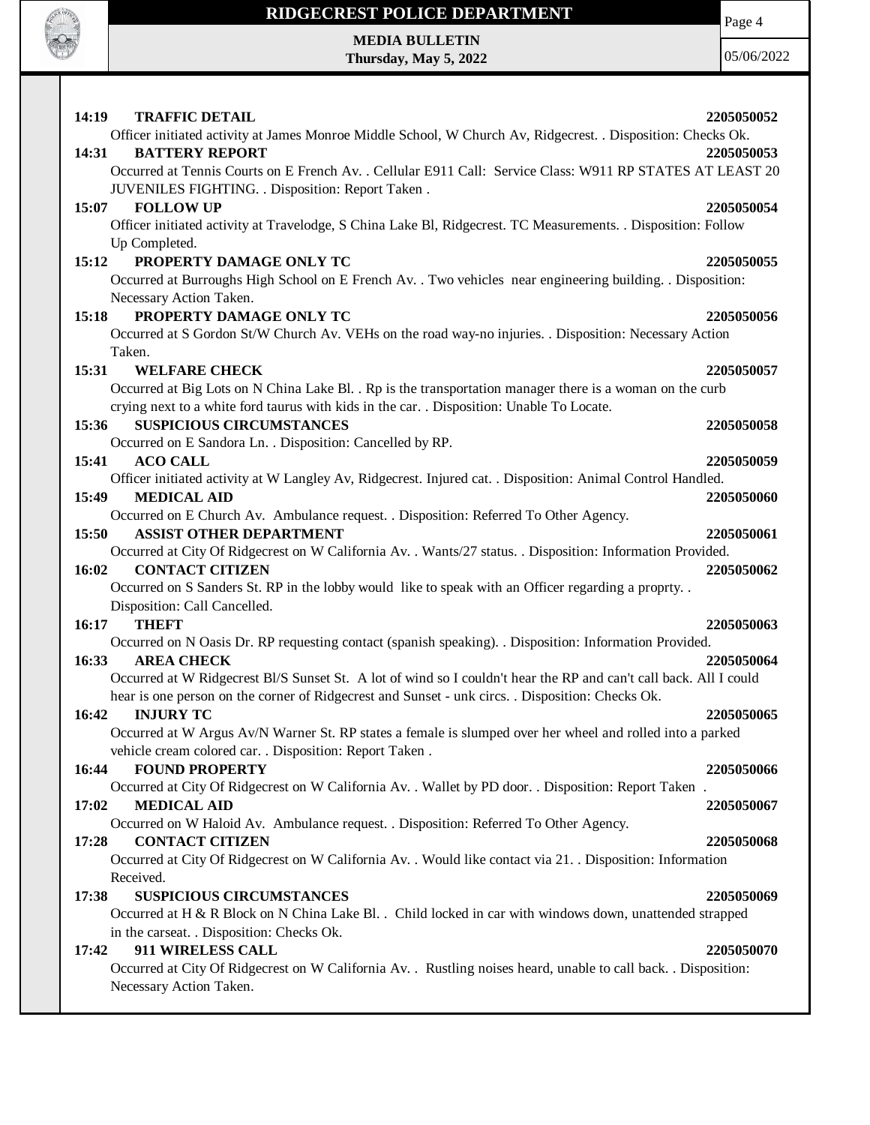

Page 4

**MEDIA BULLETIN Thursday, May 5, 2022**

| 14:19<br><b>TRAFFIC DETAIL</b>                                                                                    | 2205050052 |
|-------------------------------------------------------------------------------------------------------------------|------------|
| Officer initiated activity at James Monroe Middle School, W Church Av, Ridgecrest. . Disposition: Checks Ok.      |            |
| 14:31<br><b>BATTERY REPORT</b>                                                                                    | 2205050053 |
| Occurred at Tennis Courts on E French Av. . Cellular E911 Call: Service Class: W911 RP STATES AT LEAST 20         |            |
| JUVENILES FIGHTING. . Disposition: Report Taken.                                                                  |            |
| <b>FOLLOW UP</b><br>15:07                                                                                         | 2205050054 |
| Officer initiated activity at Travelodge, S China Lake Bl, Ridgecrest. TC Measurements. . Disposition: Follow     |            |
| Up Completed.                                                                                                     |            |
| 15:12<br>PROPERTY DAMAGE ONLY TC                                                                                  | 2205050055 |
| Occurred at Burroughs High School on E French Av. . Two vehicles near engineering building. . Disposition:        |            |
| Necessary Action Taken.                                                                                           |            |
| PROPERTY DAMAGE ONLY TC<br>15:18                                                                                  | 2205050056 |
| Occurred at S Gordon St/W Church Av. VEHs on the road way-no injuries. . Disposition: Necessary Action            |            |
| Taken.                                                                                                            |            |
| 15:31<br><b>WELFARE CHECK</b>                                                                                     | 2205050057 |
| Occurred at Big Lots on N China Lake Bl. . Rp is the transportation manager there is a woman on the curb          |            |
| crying next to a white ford taurus with kids in the car. . Disposition: Unable To Locate.                         |            |
| <b>SUSPICIOUS CIRCUMSTANCES</b><br>15:36                                                                          | 2205050058 |
| Occurred on E Sandora Ln. . Disposition: Cancelled by RP.                                                         |            |
| <b>ACO CALL</b><br>15:41                                                                                          | 2205050059 |
| Officer initiated activity at W Langley Av, Ridgecrest. Injured cat. . Disposition: Animal Control Handled.       |            |
| <b>MEDICAL AID</b><br>15:49                                                                                       | 2205050060 |
| Occurred on E Church Av. Ambulance request. . Disposition: Referred To Other Agency.                              |            |
| 15:50<br><b>ASSIST OTHER DEPARTMENT</b>                                                                           | 2205050061 |
| Occurred at City Of Ridgecrest on W California Av. . Wants/27 status. . Disposition: Information Provided.        |            |
| <b>CONTACT CITIZEN</b><br>16:02                                                                                   | 2205050062 |
| Occurred on S Sanders St. RP in the lobby would like to speak with an Officer regarding a proprty                 |            |
| Disposition: Call Cancelled.                                                                                      |            |
| <b>THEFT</b><br>16:17                                                                                             | 2205050063 |
| Occurred on N Oasis Dr. RP requesting contact (spanish speaking). . Disposition: Information Provided.            |            |
| 16:33<br><b>AREA CHECK</b>                                                                                        | 2205050064 |
| Occurred at W Ridgecrest Bl/S Sunset St. A lot of wind so I couldn't hear the RP and can't call back. All I could |            |
| hear is one person on the corner of Ridgecrest and Sunset - unk circs. . Disposition: Checks Ok.                  |            |
| <b>INJURY TC</b><br>16:42                                                                                         | 2205050065 |
| Occurred at W Argus Av/N Warner St. RP states a female is slumped over her wheel and rolled into a parked         |            |
| vehicle cream colored car. . Disposition: Report Taken .                                                          |            |
| <b>FOUND PROPERTY</b><br>16:44                                                                                    | 2205050066 |
| Occurred at City Of Ridgecrest on W California Av. . Wallet by PD door. . Disposition: Report Taken.              |            |
| 17:02<br><b>MEDICAL AID</b>                                                                                       | 2205050067 |
| Occurred on W Haloid Av. Ambulance request. . Disposition: Referred To Other Agency.                              |            |
| <b>CONTACT CITIZEN</b><br>17:28                                                                                   | 2205050068 |
| Occurred at City Of Ridgecrest on W California Av. . Would like contact via 21. . Disposition: Information        |            |
| Received.                                                                                                         |            |
| 17:38<br><b>SUSPICIOUS CIRCUMSTANCES</b>                                                                          | 2205050069 |
| Occurred at H & R Block on N China Lake Bl. . Child locked in car with windows down, unattended strapped          |            |
| in the carseat. . Disposition: Checks Ok.                                                                         |            |
| 17:42<br>911 WIRELESS CALL                                                                                        | 2205050070 |
| Occurred at City Of Ridgecrest on W California Av. . Rustling noises heard, unable to call back. . Disposition:   |            |
| Necessary Action Taken.                                                                                           |            |
|                                                                                                                   |            |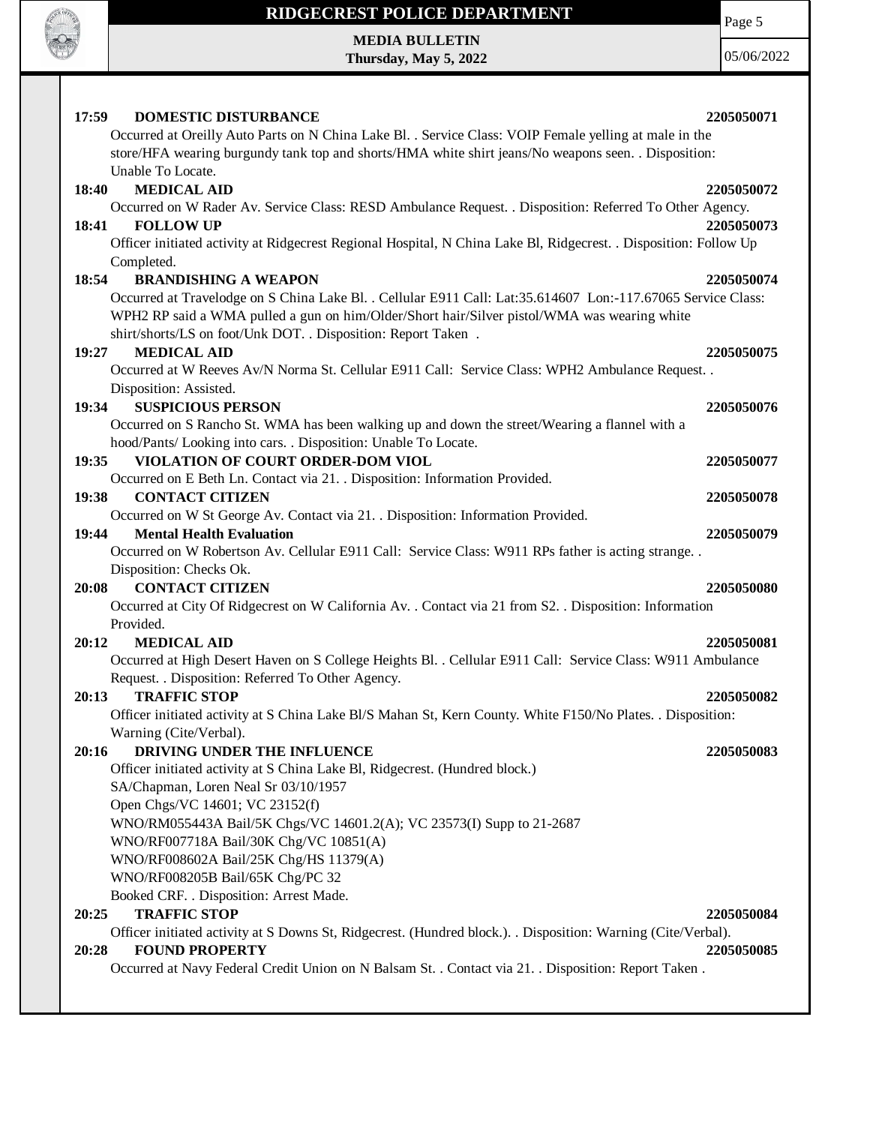

Page 5

**MEDIA BULLETIN Thursday, May 5, 2022**

| <b>DOMESTIC DISTURBANCE</b><br>17:59                                                                                                                                                                        | 2205050071 |
|-------------------------------------------------------------------------------------------------------------------------------------------------------------------------------------------------------------|------------|
| Occurred at Oreilly Auto Parts on N China Lake Bl. . Service Class: VOIP Female yelling at male in the                                                                                                      |            |
| store/HFA wearing burgundy tank top and shorts/HMA white shirt jeans/No weapons seen. . Disposition:                                                                                                        |            |
| Unable To Locate.                                                                                                                                                                                           |            |
| <b>MEDICAL AID</b><br>18:40                                                                                                                                                                                 | 2205050072 |
| Occurred on W Rader Av. Service Class: RESD Ambulance Request. . Disposition: Referred To Other Agency.                                                                                                     |            |
| <b>FOLLOW UP</b><br>18:41                                                                                                                                                                                   | 2205050073 |
| Officer initiated activity at Ridgecrest Regional Hospital, N China Lake Bl, Ridgecrest. . Disposition: Follow Up                                                                                           |            |
| Completed.                                                                                                                                                                                                  |            |
| <b>BRANDISHING A WEAPON</b><br>18:54                                                                                                                                                                        | 2205050074 |
| Occurred at Travelodge on S China Lake Bl. . Cellular E911 Call: Lat:35.614607 Lon:-117.67065 Service Class:<br>WPH2 RP said a WMA pulled a gun on him/Older/Short hair/Silver pistol/WMA was wearing white |            |
| shirt/shorts/LS on foot/Unk DOT. . Disposition: Report Taken .                                                                                                                                              |            |
| <b>MEDICAL AID</b><br>19:27                                                                                                                                                                                 | 2205050075 |
| Occurred at W Reeves Av/N Norma St. Cellular E911 Call: Service Class: WPH2 Ambulance Request. .                                                                                                            |            |
| Disposition: Assisted.                                                                                                                                                                                      |            |
| 19:34<br><b>SUSPICIOUS PERSON</b>                                                                                                                                                                           | 2205050076 |
| Occurred on S Rancho St. WMA has been walking up and down the street/Wearing a flannel with a                                                                                                               |            |
| hood/Pants/ Looking into cars. . Disposition: Unable To Locate.                                                                                                                                             |            |
| 19:35<br>VIOLATION OF COURT ORDER-DOM VIOL                                                                                                                                                                  | 2205050077 |
| Occurred on E Beth Ln. Contact via 21. . Disposition: Information Provided.                                                                                                                                 |            |
| 19:38<br><b>CONTACT CITIZEN</b>                                                                                                                                                                             | 2205050078 |
| Occurred on W St George Av. Contact via 21. . Disposition: Information Provided.                                                                                                                            |            |
| <b>Mental Health Evaluation</b><br>19:44                                                                                                                                                                    | 2205050079 |
| Occurred on W Robertson Av. Cellular E911 Call: Service Class: W911 RPs father is acting strange. .                                                                                                         |            |
| Disposition: Checks Ok.                                                                                                                                                                                     |            |
| <b>CONTACT CITIZEN</b><br>20:08                                                                                                                                                                             | 2205050080 |
| Occurred at City Of Ridgecrest on W California Av. . Contact via 21 from S2. . Disposition: Information                                                                                                     |            |
| Provided.<br><b>MEDICAL AID</b><br>20:12                                                                                                                                                                    | 2205050081 |
| Occurred at High Desert Haven on S College Heights Bl. . Cellular E911 Call: Service Class: W911 Ambulance                                                                                                  |            |
| Request. . Disposition: Referred To Other Agency.                                                                                                                                                           |            |
| <b>TRAFFIC STOP</b><br>20:13                                                                                                                                                                                | 2205050082 |
| Officer initiated activity at S China Lake Bl/S Mahan St, Kern County. White F150/No Plates. . Disposition:                                                                                                 |            |
| Warning (Cite/Verbal).                                                                                                                                                                                      |            |
| DRIVING UNDER THE INFLUENCE<br>20:16                                                                                                                                                                        | 2205050083 |
| Officer initiated activity at S China Lake Bl, Ridgecrest. (Hundred block.)                                                                                                                                 |            |
| SA/Chapman, Loren Neal Sr 03/10/1957                                                                                                                                                                        |            |
| Open Chgs/VC 14601; VC 23152(f)                                                                                                                                                                             |            |
| WNO/RM055443A Bail/5K Chgs/VC 14601.2(A); VC 23573(I) Supp to 21-2687                                                                                                                                       |            |
| WNO/RF007718A Bail/30K Chg/VC 10851(A)                                                                                                                                                                      |            |
| WNO/RF008602A Bail/25K Chg/HS 11379(A)                                                                                                                                                                      |            |
| WNO/RF008205B Bail/65K Chg/PC 32                                                                                                                                                                            |            |
| Booked CRF. . Disposition: Arrest Made.                                                                                                                                                                     |            |
| <b>TRAFFIC STOP</b><br>20:25                                                                                                                                                                                | 2205050084 |
| Officer initiated activity at S Downs St, Ridgecrest. (Hundred block.). . Disposition: Warning (Cite/Verbal).                                                                                               |            |
| <b>FOUND PROPERTY</b><br>20:28                                                                                                                                                                              | 2205050085 |
| Occurred at Navy Federal Credit Union on N Balsam St. . Contact via 21. . Disposition: Report Taken .                                                                                                       |            |
|                                                                                                                                                                                                             |            |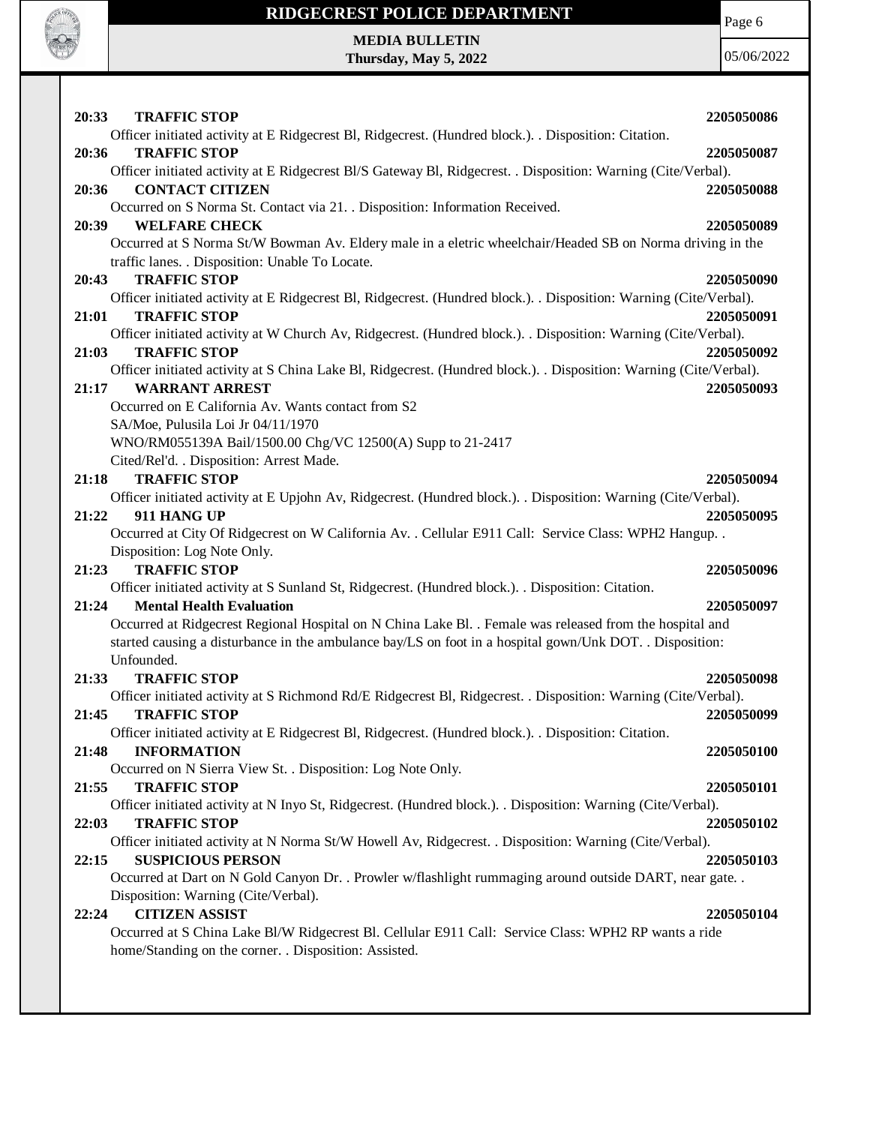

Page 6

**MEDIA BULLETIN Thursday, May 5, 2022**

| 20:33<br><b>TRAFFIC STOP</b>                                                                                                                  | 2205050086 |
|-----------------------------------------------------------------------------------------------------------------------------------------------|------------|
| Officer initiated activity at E Ridgecrest Bl, Ridgecrest. (Hundred block.). Disposition: Citation.                                           |            |
| <b>TRAFFIC STOP</b><br>20:36<br>Officer initiated activity at E Ridgecrest Bl/S Gateway Bl, Ridgecrest. . Disposition: Warning (Cite/Verbal). | 2205050087 |
| <b>CONTACT CITIZEN</b><br>20:36                                                                                                               | 2205050088 |
| Occurred on S Norma St. Contact via 21. . Disposition: Information Received.                                                                  |            |
| 20:39<br><b>WELFARE CHECK</b>                                                                                                                 | 2205050089 |
| Occurred at S Norma St/W Bowman Av. Eldery male in a eletric wheelchair/Headed SB on Norma driving in the                                     |            |
| traffic lanes. . Disposition: Unable To Locate.                                                                                               |            |
| 20:43<br><b>TRAFFIC STOP</b>                                                                                                                  | 2205050090 |
| Officer initiated activity at E Ridgecrest Bl, Ridgecrest. (Hundred block.). . Disposition: Warning (Cite/Verbal).                            |            |
| 21:01<br><b>TRAFFIC STOP</b>                                                                                                                  | 2205050091 |
| Officer initiated activity at W Church Av, Ridgecrest. (Hundred block.). Disposition: Warning (Cite/Verbal).                                  |            |
| <b>TRAFFIC STOP</b><br>21:03                                                                                                                  | 2205050092 |
| Officer initiated activity at S China Lake Bl, Ridgecrest. (Hundred block.). . Disposition: Warning (Cite/Verbal).                            |            |
| <b>WARRANT ARREST</b><br>21:17                                                                                                                | 2205050093 |
| Occurred on E California Av. Wants contact from S2                                                                                            |            |
| SA/Moe, Pulusila Loi Jr 04/11/1970                                                                                                            |            |
| WNO/RM055139A Bail/1500.00 Chg/VC 12500(A) Supp to 21-2417                                                                                    |            |
| Cited/Rel'd. . Disposition: Arrest Made.                                                                                                      |            |
| <b>TRAFFIC STOP</b><br>21:18                                                                                                                  | 2205050094 |
| Officer initiated activity at E Upjohn Av, Ridgecrest. (Hundred block.). Disposition: Warning (Cite/Verbal).                                  |            |
| 21:22<br>911 HANG UP                                                                                                                          | 2205050095 |
| Occurred at City Of Ridgecrest on W California Av. . Cellular E911 Call: Service Class: WPH2 Hangup. .                                        |            |
| Disposition: Log Note Only.                                                                                                                   |            |
| 21:23<br><b>TRAFFIC STOP</b>                                                                                                                  | 2205050096 |
| Officer initiated activity at S Sunland St, Ridgecrest. (Hundred block.). . Disposition: Citation.                                            |            |
| 21:24<br><b>Mental Health Evaluation</b>                                                                                                      | 2205050097 |
| Occurred at Ridgecrest Regional Hospital on N China Lake Bl. . Female was released from the hospital and                                      |            |
| started causing a disturbance in the ambulance bay/LS on foot in a hospital gown/Unk DOT. . Disposition:                                      |            |
| Unfounded.                                                                                                                                    |            |
| 21:33<br><b>TRAFFIC STOP</b>                                                                                                                  | 2205050098 |
| Officer initiated activity at S Richmond Rd/E Ridgecrest Bl, Ridgecrest. . Disposition: Warning (Cite/Verbal).                                |            |
| 21:45<br><b>TRAFFIC STOP</b>                                                                                                                  | 2205050099 |
| Officer initiated activity at E Ridgecrest Bl, Ridgecrest. (Hundred block.). . Disposition: Citation.                                         |            |
| <b>INFORMATION</b><br>21:48                                                                                                                   | 2205050100 |
| Occurred on N Sierra View St. . Disposition: Log Note Only.                                                                                   |            |
| 21:55<br><b>TRAFFIC STOP</b>                                                                                                                  | 2205050101 |
| Officer initiated activity at N Inyo St, Ridgecrest. (Hundred block.). . Disposition: Warning (Cite/Verbal).<br><b>TRAFFIC STOP</b><br>22:03  | 2205050102 |
| Officer initiated activity at N Norma St/W Howell Av, Ridgecrest. . Disposition: Warning (Cite/Verbal).                                       |            |
| <b>SUSPICIOUS PERSON</b><br>22:15                                                                                                             | 2205050103 |
| Occurred at Dart on N Gold Canyon Dr. . Prowler w/flashlight rummaging around outside DART, near gate. .                                      |            |
| Disposition: Warning (Cite/Verbal).                                                                                                           |            |
| <b>CITIZEN ASSIST</b><br>22:24                                                                                                                | 2205050104 |
| Occurred at S China Lake Bl/W Ridgecrest Bl. Cellular E911 Call: Service Class: WPH2 RP wants a ride                                          |            |
| home/Standing on the corner. . Disposition: Assisted.                                                                                         |            |
|                                                                                                                                               |            |